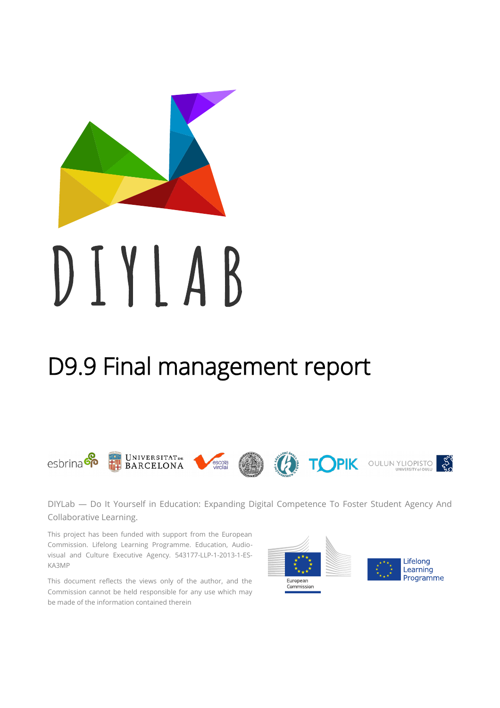

# D9.9 Final management report

#### **UNIVERSITATDE COPIK OULUIN YLIOPISTO &** esbrina<sup>co</sup> escola<br>virolai **BARCELONA**

DIYLab — Do It Yourself in Education: Expanding Digital Competence To Foster Student Agency And Collaborative Learning.

This project has been funded with support from the European Commission. Lifelong Learning Programme. Education, Audiovisual and Culture Executive Agency. 543177-LLP-1-2013-1-ES-KA3MP

This document reflects the views only of the author, and the Commission cannot be held responsible for any use which may be made of the information contained therein

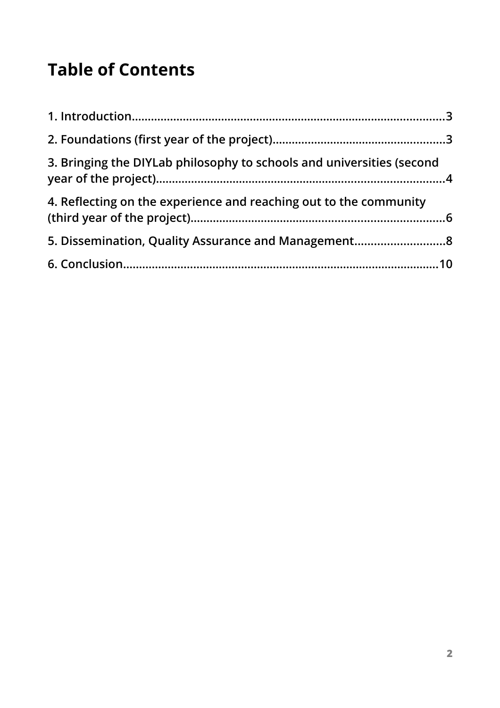## **Table of Contents**

| 3. Bringing the DIYLab philosophy to schools and universities (second |  |
|-----------------------------------------------------------------------|--|
| 4. Reflecting on the experience and reaching out to the community     |  |
| 5. Dissemination, Quality Assurance and Management8                   |  |
|                                                                       |  |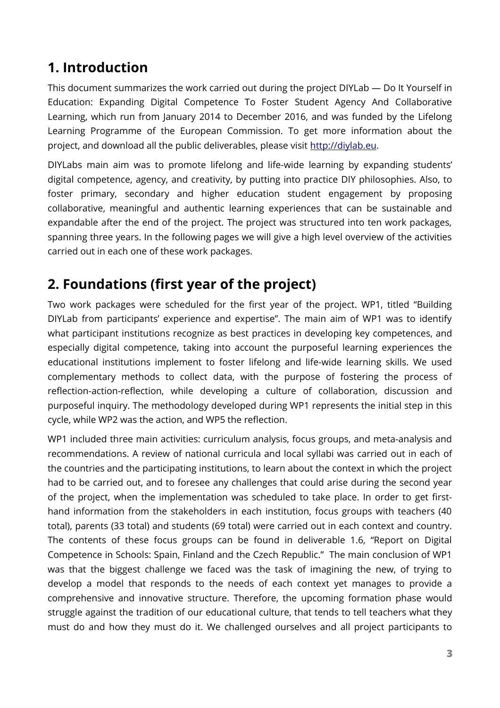## <span id="page-2-0"></span>**1. Introduction**

This document summarizes the work carried out during the project DIYLab — Do It Yourself in Education: Expanding Digital Competence To Foster Student Agency And Collaborative Learning, which run from January 2014 to December 2016, and was funded by the Lifelong Learning Programme of the European Commission. To get more information about the project, and download all the public deliverables, please visit [http://diylab.eu.](http://diylab.eu/)

DIYLabs main aim was to promote lifelong and life-wide learning by expanding students' digital competence, agency, and creativity, by putting into practice DIY philosophies. Also, to foster primary, secondary and higher education student engagement by proposing collaborative, meaningful and authentic learning experiences that can be sustainable and expandable after the end of the project. The project was structured into ten work packages, spanning three years. In the following pages we will give a high level overview of the activities carried out in each one of these work packages.

## <span id="page-2-1"></span>**2. Foundations (first year of the project)**

Two work packages were scheduled for the first year of the project. WP1, titled "Building DIYLab from participants' experience and expertise". The main aim of WP1 was to identify what participant institutions recognize as best practices in developing key competences, and especially digital competence, taking into account the purposeful learning experiences the educational institutions implement to foster lifelong and life-wide learning skills. We used complementary methods to collect data, with the purpose of fostering the process of reflection-action-reflection, while developing a culture of collaboration, discussion and purposeful inquiry. The methodology developed during WP1 represents the initial step in this cycle, while WP2 was the action, and WP5 the reflection.

WP1 included three main activities: curriculum analysis, focus groups, and meta-analysis and recommendations. A review of national curricula and local syllabi was carried out in each of the countries and the participating institutions, to learn about the context in which the project had to be carried out, and to foresee any challenges that could arise during the second year of the project, when the implementation was scheduled to take place. In order to get firsthand information from the stakeholders in each institution, focus groups with teachers (40 total), parents (33 total) and students (69 total) were carried out in each context and country. The contents of these focus groups can be found in deliverable 1.6, "Report on Digital Competence in Schools: Spain, Finland and the Czech Republic." The main conclusion of WP1 was that the biggest challenge we faced was the task of imagining the new, of trying to develop a model that responds to the needs of each context yet manages to provide a comprehensive and innovative structure. Therefore, the upcoming formation phase would struggle against the tradition of our educational culture, that tends to tell teachers what they must do and how they must do it. We challenged ourselves and all project participants to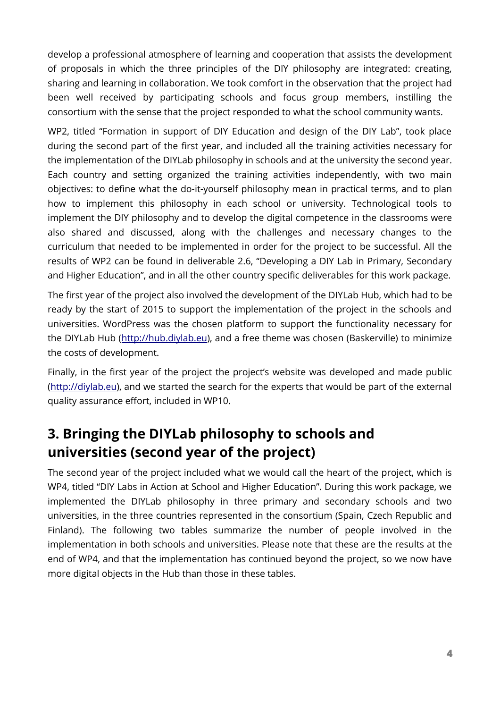develop a professional atmosphere of learning and cooperation that assists the development of proposals in which the three principles of the DIY philosophy are integrated: creating, sharing and learning in collaboration. We took comfort in the observation that the project had been well received by participating schools and focus group members, instilling the consortium with the sense that the project responded to what the school community wants.

WP2, titled "Formation in support of DIY Education and design of the DIY Lab", took place during the second part of the first year, and included all the training activities necessary for the implementation of the DIYLab philosophy in schools and at the university the second year. Each country and setting organized the training activities independently, with two main objectives: to define what the do-it-yourself philosophy mean in practical terms, and to plan how to implement this philosophy in each school or university. Technological tools to implement the DIY philosophy and to develop the digital competence in the classrooms were also shared and discussed, along with the challenges and necessary changes to the curriculum that needed to be implemented in order for the project to be successful. All the results of WP2 can be found in deliverable 2.6, "Developing a DIY Lab in Primary, Secondary and Higher Education", and in all the other country specific deliverables for this work package.

The first year of the project also involved the development of the DIYLab Hub, which had to be ready by the start of 2015 to support the implementation of the project in the schools and universities. WordPress was the chosen platform to support the functionality necessary for the DIYLab Hub [\(http://hub.diylab.eu\)](http://hub.diylab.eu/), and a free theme was chosen (Baskerville) to minimize the costs of development.

Finally, in the first year of the project the project's website was developed and made public [\(http://diylab.eu\)](http://diylab.eu/), and we started the search for the experts that would be part of the external quality assurance effort, included in WP10.

## <span id="page-3-0"></span>**3. Bringing the DIYLab philosophy to schools and universities (second year of the project)**

The second year of the project included what we would call the heart of the project, which is WP4, titled "DIY Labs in Action at School and Higher Education". During this work package, we implemented the DIYLab philosophy in three primary and secondary schools and two universities, in the three countries represented in the consortium (Spain, Czech Republic and Finland). The following two tables summarize the number of people involved in the implementation in both schools and universities. Please note that these are the results at the end of WP4, and that the implementation has continued beyond the project, so we now have more digital objects in the Hub than those in these tables.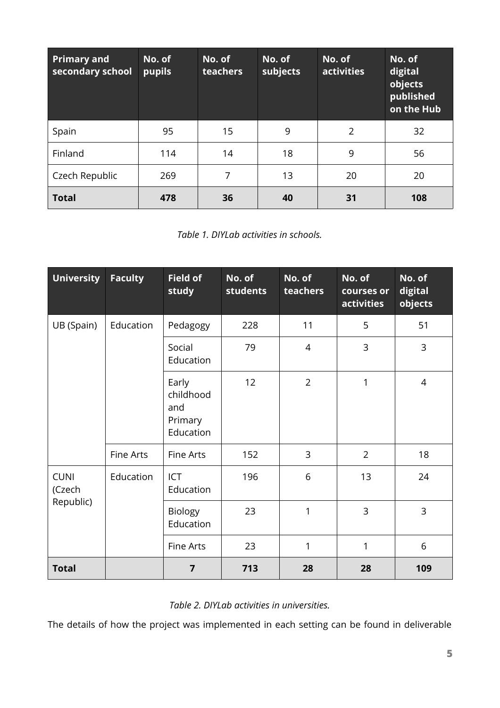| <b>Primary and</b><br>secondary school | No. of<br>pupils | No. of<br>teachers | No. of<br>subjects | No. of<br>activities | No. of<br>digital<br>objects<br>published<br>on the Hub |
|----------------------------------------|------------------|--------------------|--------------------|----------------------|---------------------------------------------------------|
| Spain                                  | 95               | 15                 | 9                  | $\overline{2}$       | 32                                                      |
| Finland                                | 114              | 14                 | 18                 | 9                    | 56                                                      |
| Czech Republic                         | 269              | 7                  | 13                 | 20                   | 20                                                      |
| <b>Total</b>                           | 478              | 36                 | 40                 | 31                   | 108                                                     |

*Table 1. DIYLab activities in schools.*

| <b>University</b>                  | <b>Faculty</b>   | <b>Field of</b><br>study                          | No. of<br>students | No. of<br>teachers | No. of<br>courses or<br><b>activities</b> | No. of<br>digital<br>objects |
|------------------------------------|------------------|---------------------------------------------------|--------------------|--------------------|-------------------------------------------|------------------------------|
| UB (Spain)                         | Education        | Pedagogy                                          | 228                | 11                 | 5                                         | 51                           |
|                                    |                  | Social<br>Education                               | 79                 | $\overline{4}$     | 3                                         | 3                            |
|                                    |                  | Early<br>childhood<br>and<br>Primary<br>Education | 12                 | $\overline{2}$     | 1                                         | 4                            |
|                                    | <b>Fine Arts</b> | <b>Fine Arts</b>                                  | 152                | $\overline{3}$     | $\overline{2}$                            | 18                           |
| <b>CUNI</b><br>(Czech<br>Republic) | Education        | ICT<br>Education                                  | 196                | 6                  | 13                                        | 24                           |
|                                    |                  | <b>Biology</b><br>Education                       | 23                 | 1                  | 3                                         | 3                            |
|                                    |                  | <b>Fine Arts</b>                                  | 23                 | 1                  | 1                                         | 6                            |
| <b>Total</b>                       |                  | $\overline{7}$                                    | 713                | 28                 | 28                                        | 109                          |

#### *Table 2. DIYLab activities in universities.*

The details of how the project was implemented in each setting can be found in deliverable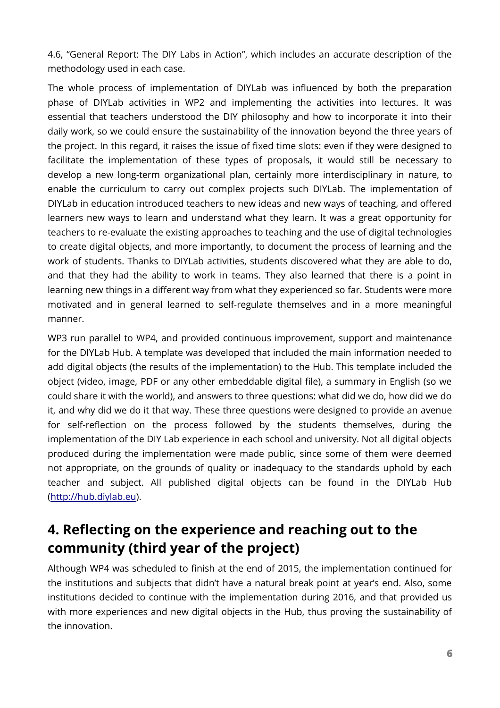4.6, "General Report: The DIY Labs in Action", which includes an accurate description of the methodology used in each case.

The whole process of implementation of DIYLab was influenced by both the preparation phase of DIYLab activities in WP2 and implementing the activities into lectures. It was essential that teachers understood the DIY philosophy and how to incorporate it into their daily work, so we could ensure the sustainability of the innovation beyond the three years of the project. In this regard, it raises the issue of fixed time slots: even if they were designed to facilitate the implementation of these types of proposals, it would still be necessary to develop a new long-term organizational plan, certainly more interdisciplinary in nature, to enable the curriculum to carry out complex projects such DIYLab. The implementation of DIYLab in education introduced teachers to new ideas and new ways of teaching, and offered learners new ways to learn and understand what they learn. It was a great opportunity for teachers to re-evaluate the existing approaches to teaching and the use of digital technologies to create digital objects, and more importantly, to document the process of learning and the work of students. Thanks to DIYLab activities, students discovered what they are able to do, and that they had the ability to work in teams. They also learned that there is a point in learning new things in a different way from what they experienced so far. Students were more motivated and in general learned to self-regulate themselves and in a more meaningful manner.

WP3 run parallel to WP4, and provided continuous improvement, support and maintenance for the DIYLab Hub. A template was developed that included the main information needed to add digital objects (the results of the implementation) to the Hub. This template included the object (video, image, PDF or any other embeddable digital file), a summary in English (so we could share it with the world), and answers to three questions: what did we do, how did we do it, and why did we do it that way. These three questions were designed to provide an avenue for self-reflection on the process followed by the students themselves, during the implementation of the DIY Lab experience in each school and university. Not all digital objects produced during the implementation were made public, since some of them were deemed not appropriate, on the grounds of quality or inadequacy to the standards uphold by each teacher and subject. All published digital objects can be found in the DIYLab Hub [\(http://hub.diylab.eu\)](http://hub.diylab.eu/).

## <span id="page-5-0"></span>**4. Reflecting on the experience and reaching out to the community (third year of the project)**

Although WP4 was scheduled to finish at the end of 2015, the implementation continued for the institutions and subjects that didn't have a natural break point at year's end. Also, some institutions decided to continue with the implementation during 2016, and that provided us with more experiences and new digital objects in the Hub, thus proving the sustainability of the innovation.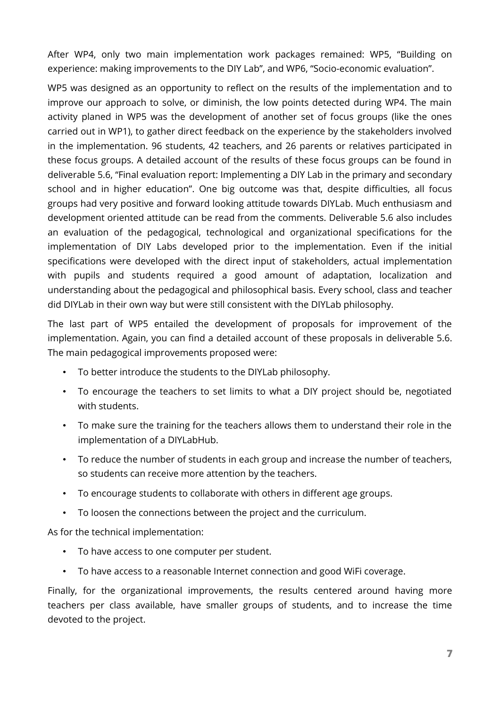After WP4, only two main implementation work packages remained: WP5, "Building on experience: making improvements to the DIY Lab", and WP6, "Socio-economic evaluation".

WP5 was designed as an opportunity to reflect on the results of the implementation and to improve our approach to solve, or diminish, the low points detected during WP4. The main activity planed in WP5 was the development of another set of focus groups (like the ones carried out in WP1), to gather direct feedback on the experience by the stakeholders involved in the implementation. 96 students, 42 teachers, and 26 parents or relatives participated in these focus groups. A detailed account of the results of these focus groups can be found in deliverable 5.6, "Final evaluation report: Implementing a DIY Lab in the primary and secondary school and in higher education". One big outcome was that, despite difficulties, all focus groups had very positive and forward looking attitude towards DIYLab. Much enthusiasm and development oriented attitude can be read from the comments. Deliverable 5.6 also includes an evaluation of the pedagogical, technological and organizational specifications for the implementation of DIY Labs developed prior to the implementation. Even if the initial specifications were developed with the direct input of stakeholders, actual implementation with pupils and students required a good amount of adaptation, localization and understanding about the pedagogical and philosophical basis. Every school, class and teacher did DIYLab in their own way but were still consistent with the DIYLab philosophy.

The last part of WP5 entailed the development of proposals for improvement of the implementation. Again, you can find a detailed account of these proposals in deliverable 5.6. The main pedagogical improvements proposed were:

- To better introduce the students to the DIYLab philosophy.
- To encourage the teachers to set limits to what a DIY project should be, negotiated with students.
- To make sure the training for the teachers allows them to understand their role in the implementation of a DIYLabHub.
- To reduce the number of students in each group and increase the number of teachers, so students can receive more attention by the teachers.
- To encourage students to collaborate with others in different age groups.
- To loosen the connections between the project and the curriculum.

As for the technical implementation:

- To have access to one computer per student.
- To have access to a reasonable Internet connection and good WiFi coverage.

Finally, for the organizational improvements, the results centered around having more teachers per class available, have smaller groups of students, and to increase the time devoted to the project.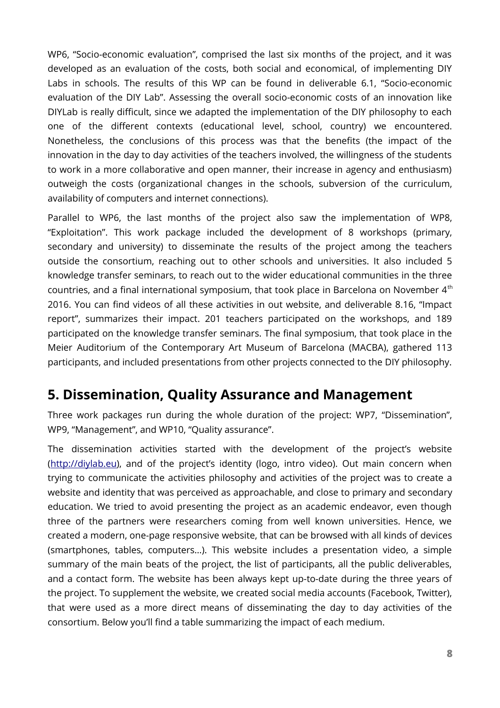WP6, "Socio-economic evaluation", comprised the last six months of the project, and it was developed as an evaluation of the costs, both social and economical, of implementing DIY Labs in schools. The results of this WP can be found in deliverable 6.1, "Socio-economic evaluation of the DIY Lab". Assessing the overall socio-economic costs of an innovation like DIYLab is really difficult, since we adapted the implementation of the DIY philosophy to each one of the different contexts (educational level, school, country) we encountered. Nonetheless, the conclusions of this process was that the benefits (the impact of the innovation in the day to day activities of the teachers involved, the willingness of the students to work in a more collaborative and open manner, their increase in agency and enthusiasm) outweigh the costs (organizational changes in the schools, subversion of the curriculum, availability of computers and internet connections).

Parallel to WP6, the last months of the project also saw the implementation of WP8, "Exploitation". This work package included the development of 8 workshops (primary, secondary and university) to disseminate the results of the project among the teachers outside the consortium, reaching out to other schools and universities. It also included 5 knowledge transfer seminars, to reach out to the wider educational communities in the three countries, and a final international symposium, that took place in Barcelona on November 4<sup>th</sup> 2016. You can find videos of all these activities in out website, and deliverable 8.16, "Impact report", summarizes their impact. 201 teachers participated on the workshops, and 189 participated on the knowledge transfer seminars. The final symposium, that took place in the Meier Auditorium of the Contemporary Art Museum of Barcelona (MACBA), gathered 113 participants, and included presentations from other projects connected to the DIY philosophy.

### <span id="page-7-0"></span>**5. Dissemination, Quality Assurance and Management**

Three work packages run during the whole duration of the project: WP7, "Dissemination", WP9, "Management", and WP10, "Quality assurance".

The dissemination activities started with the development of the project's website [\(http://diylab.eu\)](http://diylab.eu/), and of the project's identity (logo, intro video). Out main concern when trying to communicate the activities philosophy and activities of the project was to create a website and identity that was perceived as approachable, and close to primary and secondary education. We tried to avoid presenting the project as an academic endeavor, even though three of the partners were researchers coming from well known universities. Hence, we created a modern, one-page responsive website, that can be browsed with all kinds of devices (smartphones, tables, computers…). This website includes a presentation video, a simple summary of the main beats of the project, the list of participants, all the public deliverables, and a contact form. The website has been always kept up-to-date during the three years of the project. To supplement the website, we created social media accounts (Facebook, Twitter), that were used as a more direct means of disseminating the day to day activities of the consortium. Below you'll find a table summarizing the impact of each medium.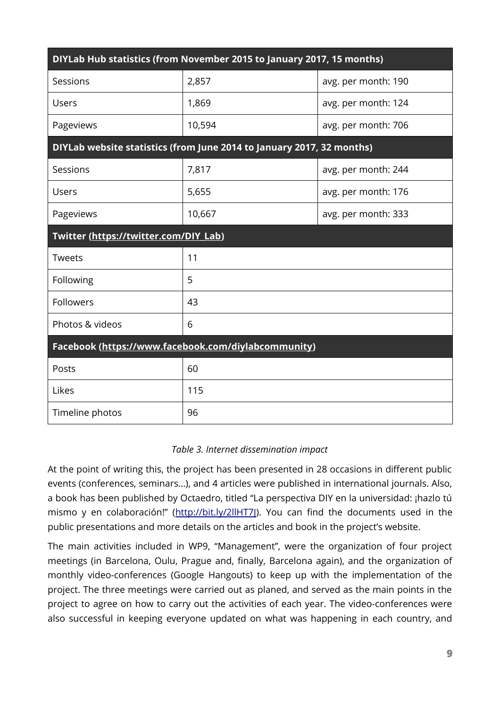| DIYLab Hub statistics (from November 2015 to January 2017, 15 months) |        |                     |  |  |  |  |
|-----------------------------------------------------------------------|--------|---------------------|--|--|--|--|
| Sessions                                                              | 2,857  | avg. per month: 190 |  |  |  |  |
| Users                                                                 | 1,869  | avg. per month: 124 |  |  |  |  |
| Pageviews                                                             | 10,594 | avg. per month: 706 |  |  |  |  |
| DIYLab website statistics (from June 2014 to January 2017, 32 months) |        |                     |  |  |  |  |
| Sessions                                                              | 7,817  | avg. per month: 244 |  |  |  |  |
| Users                                                                 | 5,655  | avg. per month: 176 |  |  |  |  |
| Pageviews                                                             | 10,667 | avg. per month: 333 |  |  |  |  |
| Twitter (https://twitter.com/DIY_Lab)                                 |        |                     |  |  |  |  |
| <b>Tweets</b>                                                         | 11     |                     |  |  |  |  |
| Following                                                             | 5      |                     |  |  |  |  |
| Followers                                                             | 43     |                     |  |  |  |  |
| Photos & videos                                                       | 6      |                     |  |  |  |  |
| Facebook (https://www.facebook.com/diylabcommunity)                   |        |                     |  |  |  |  |
| Posts                                                                 | 60     |                     |  |  |  |  |
| Likes                                                                 | 115    |                     |  |  |  |  |
| Timeline photos                                                       | 96     |                     |  |  |  |  |

#### *Table 3. Internet dissemination impact*

At the point of writing this, the project has been presented in 28 occasions in different public events (conferences, seminars…), and 4 articles were published in international journals. Also, a book has been published by Octaedro, titled "La perspectiva DIY en la universidad: ¡hazlo tú mismo y en colaboración!" (http://bit.ly/2llHT7]). You can find the documents used in the public presentations and more details on the articles and book in the project's website.

The main activities included in WP9, "Management", were the organization of four project meetings (in Barcelona, Oulu, Prague and, finally, Barcelona again), and the organization of monthly video-conferences (Google Hangouts) to keep up with the implementation of the project. The three meetings were carried out as planed, and served as the main points in the project to agree on how to carry out the activities of each year. The video-conferences were also successful in keeping everyone updated on what was happening in each country, and